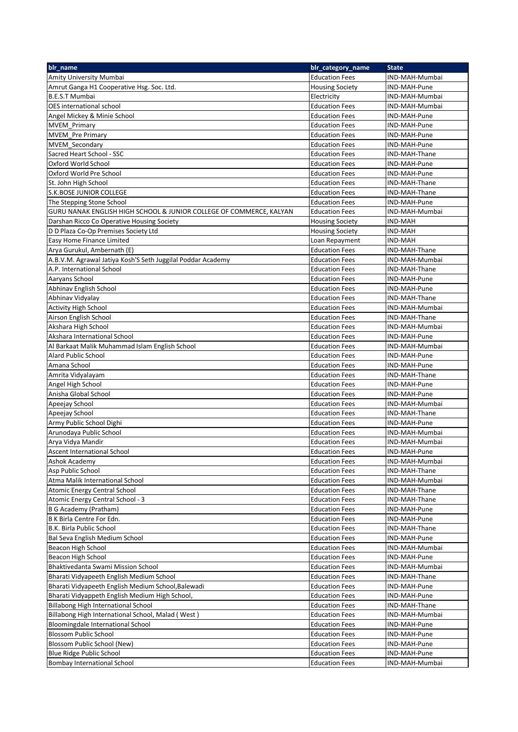| blr_name                                                            | blr_category_name      | <b>State</b>   |
|---------------------------------------------------------------------|------------------------|----------------|
| Amity University Mumbai                                             | <b>Education Fees</b>  | IND-MAH-Mumbai |
| Amrut Ganga H1 Cooperative Hsg. Soc. Ltd.                           | <b>Housing Society</b> | IND-MAH-Pune   |
| <b>B.E.S.T Mumbai</b>                                               | Electricity            | IND-MAH-Mumbai |
| <b>OES</b> international school                                     | <b>Education Fees</b>  | IND-MAH-Mumbai |
| Angel Mickey & Minie School                                         | <b>Education Fees</b>  | IND-MAH-Pune   |
| <b>MVEM</b> Primary                                                 | <b>Education Fees</b>  | IND-MAH-Pune   |
| <b>MVEM</b> Pre Primary                                             | <b>Education Fees</b>  | IND-MAH-Pune   |
| <b>MVEM_Secondary</b>                                               | <b>Education Fees</b>  | IND-MAH-Pune   |
| Sacred Heart School - SSC                                           | <b>Education Fees</b>  | IND-MAH-Thane  |
| Oxford World School                                                 | <b>Education Fees</b>  | IND-MAH-Pune   |
| Oxford World Pre School                                             | <b>Education Fees</b>  | IND-MAH-Pune   |
|                                                                     | <b>Education Fees</b>  | IND-MAH-Thane  |
| St. John High School                                                |                        |                |
| S.K. BOSE JUNIOR COLLEGE                                            | <b>Education Fees</b>  | IND-MAH-Thane  |
| The Stepping Stone School                                           | <b>Education Fees</b>  | IND-MAH-Pune   |
| GURU NANAK ENGLISH HIGH SCHOOL & JUNIOR COLLEGE OF COMMERCE, KALYAN | <b>Education Fees</b>  | IND-MAH-Mumbai |
| Darshan Ricco Co Operative Housing Society                          | <b>Housing Society</b> | IND-MAH        |
| D D Plaza Co-Op Premises Society Ltd                                | <b>Housing Society</b> | IND-MAH        |
| Easy Home Finance Limited                                           | Loan Repayment         | IND-MAH        |
| Arya Gurukul, Ambernath (E)                                         | <b>Education Fees</b>  | IND-MAH-Thane  |
| A.B.V.M. Agrawal Jatiya Kosh'S Seth Juggilal Poddar Academy         | <b>Education Fees</b>  | IND-MAH-Mumbai |
| A.P. International School                                           | <b>Education Fees</b>  | IND-MAH-Thane  |
| Aaryans School                                                      | <b>Education Fees</b>  | IND-MAH-Pune   |
| Abhinav English School                                              | <b>Education Fees</b>  | IND-MAH-Pune   |
| Abhinav Vidyalay                                                    | Education Fees         | IND-MAH-Thane  |
| <b>Activity High School</b>                                         | <b>Education Fees</b>  | IND-MAH-Mumbai |
| Airson English School                                               | <b>Education Fees</b>  | IND-MAH-Thane  |
| Akshara High School                                                 | <b>Education Fees</b>  | IND-MAH-Mumbai |
| Akshara International School                                        | <b>Education Fees</b>  | IND-MAH-Pune   |
| Al Barkaat Malik Muhammad Islam English School                      | <b>Education Fees</b>  | IND-MAH-Mumbai |
| Alard Public School                                                 | <b>Education Fees</b>  | IND-MAH-Pune   |
| Amana School                                                        |                        | IND-MAH-Pune   |
|                                                                     | <b>Education Fees</b>  |                |
| Amrita Vidyalayam                                                   | <b>Education Fees</b>  | IND-MAH-Thane  |
| Angel High School                                                   | <b>Education Fees</b>  | IND-MAH-Pune   |
| Anisha Global School                                                | <b>Education Fees</b>  | IND-MAH-Pune   |
| Apeejay School                                                      | <b>Education Fees</b>  | IND-MAH-Mumbai |
| Apeejay School                                                      | <b>Education Fees</b>  | IND-MAH-Thane  |
| Army Public School Dighi                                            | <b>Education Fees</b>  | IND-MAH-Pune   |
| Arunodaya Public School                                             | <b>Education Fees</b>  | IND-MAH-Mumbai |
| Arya Vidya Mandir                                                   | <b>Education Fees</b>  | IND-MAH-Mumbai |
| Ascent International School                                         | <b>Education Fees</b>  | IND-MAH-Pune   |
| Ashok Academy                                                       | <b>Education Fees</b>  | IND-MAH-Mumbai |
| Asp Public School                                                   | <b>Education Fees</b>  | IND-MAH-Thane  |
| Atma Malik International School                                     | <b>Education Fees</b>  | IND-MAH-Mumbai |
| Atomic Energy Central School                                        | <b>Education Fees</b>  | IND-MAH-Thane  |
| Atomic Energy Central School - 3                                    | <b>Education Fees</b>  | IND-MAH-Thane  |
| B G Academy (Pratham)                                               | <b>Education Fees</b>  | IND-MAH-Pune   |
| B K Birla Centre For Edn.                                           | <b>Education Fees</b>  | IND-MAH-Pune   |
| B.K. Birla Public School                                            | <b>Education Fees</b>  | IND-MAH-Thane  |
| Bal Seva English Medium School                                      | Education Fees         | IND-MAH-Pune   |
| Beacon High School                                                  | <b>Education Fees</b>  | IND-MAH-Mumbai |
|                                                                     |                        |                |
| Beacon High School                                                  | <b>Education Fees</b>  | IND-MAH-Pune   |
| Bhaktivedanta Swami Mission School                                  | <b>Education Fees</b>  | IND-MAH-Mumbai |
| Bharati Vidyapeeth English Medium School                            | <b>Education Fees</b>  | IND-MAH-Thane  |
| Bharati Vidyapeeth English Medium School, Balewadi                  | <b>Education Fees</b>  | IND-MAH-Pune   |
| Bharati Vidyappeth English Medium High School,                      | <b>Education Fees</b>  | IND-MAH-Pune   |
| Billabong High International School                                 | <b>Education Fees</b>  | IND-MAH-Thane  |
| Billabong High International School, Malad (West)                   | <b>Education Fees</b>  | IND-MAH-Mumbai |
| Bloomingdale International School                                   | <b>Education Fees</b>  | IND-MAH-Pune   |
| <b>Blossom Public School</b>                                        | <b>Education Fees</b>  | IND-MAH-Pune   |
| Blossom Public School (New)                                         | <b>Education Fees</b>  | IND-MAH-Pune   |
| Blue Ridge Public School                                            | <b>Education Fees</b>  | IND-MAH-Pune   |
| <b>Bombay International School</b>                                  | Education Fees         | IND-MAH-Mumbai |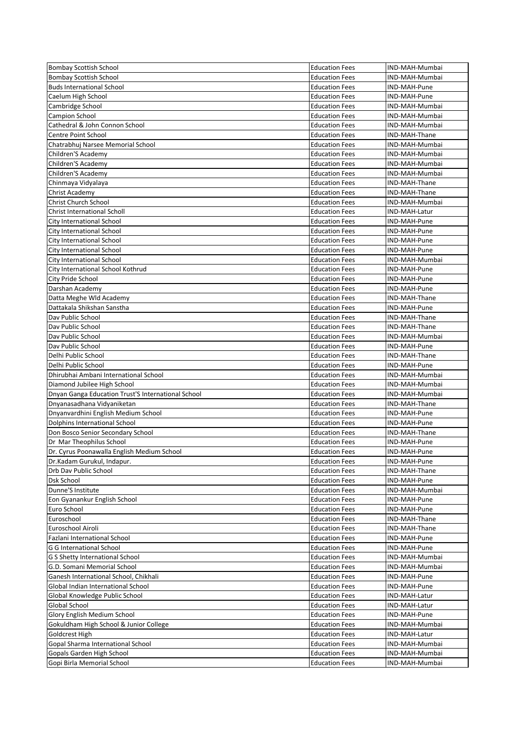| <b>Bombay Scottish School</b>                      | <b>Education Fees</b> | IND-MAH-Mumbai |
|----------------------------------------------------|-----------------------|----------------|
| <b>Bombay Scottish School</b>                      | <b>Education Fees</b> | IND-MAH-Mumbai |
| <b>Buds International School</b>                   | <b>Education Fees</b> | IND-MAH-Pune   |
| Caelum High School                                 | <b>Education Fees</b> | IND-MAH-Pune   |
| Cambridge School                                   | <b>Education Fees</b> | IND-MAH-Mumbai |
| Campion School                                     | <b>Education Fees</b> | IND-MAH-Mumbai |
| Cathedral & John Connon School                     | <b>Education Fees</b> | IND-MAH-Mumbai |
| <b>Centre Point School</b>                         | <b>Education Fees</b> | IND-MAH-Thane  |
| Chatrabhuj Narsee Memorial School                  | <b>Education Fees</b> | IND-MAH-Mumbai |
| Children'S Academy                                 | <b>Education Fees</b> | IND-MAH-Mumbai |
| Children'S Academy                                 | <b>Education Fees</b> | IND-MAH-Mumbai |
| Children'S Academy                                 | <b>Education Fees</b> | IND-MAH-Mumbai |
| Chinmaya Vidyalaya                                 | <b>Education Fees</b> | IND-MAH-Thane  |
| Christ Academy                                     | <b>Education Fees</b> | IND-MAH-Thane  |
| <b>Christ Church School</b>                        | <b>Education Fees</b> | IND-MAH-Mumbai |
| <b>Christ International Scholl</b>                 | <b>Education Fees</b> | IND-MAH-Latur  |
| City International School                          | <b>Education Fees</b> | IND-MAH-Pune   |
| City International School                          | <b>Education Fees</b> | IND-MAH-Pune   |
| <b>City International School</b>                   | <b>Education Fees</b> | IND-MAH-Pune   |
| City International School                          | <b>Education Fees</b> | IND-MAH-Pune   |
| City International School                          | <b>Education Fees</b> | IND-MAH-Mumbai |
| City International School Kothrud                  | <b>Education Fees</b> | IND-MAH-Pune   |
| City Pride School                                  | <b>Education Fees</b> | IND-MAH-Pune   |
| Darshan Academy                                    | <b>Education Fees</b> | IND-MAH-Pune   |
| Datta Meghe Wld Academy                            | <b>Education Fees</b> | IND-MAH-Thane  |
| Dattakala Shikshan Sanstha                         | <b>Education Fees</b> | IND-MAH-Pune   |
| Dav Public School                                  | <b>Education Fees</b> |                |
|                                                    |                       | IND-MAH-Thane  |
| Day Public School                                  | <b>Education Fees</b> | IND-MAH-Thane  |
| Dav Public School                                  | <b>Education Fees</b> | IND-MAH-Mumbai |
| Dav Public School                                  | <b>Education Fees</b> | IND-MAH-Pune   |
| Delhi Public School                                | <b>Education Fees</b> | IND-MAH-Thane  |
| Delhi Public School                                | <b>Education Fees</b> | IND-MAH-Pune   |
| Dhirubhai Ambani International School              | <b>Education Fees</b> | IND-MAH-Mumbai |
| Diamond Jubilee High School                        | <b>Education Fees</b> | IND-MAH-Mumbai |
| Dnyan Ganga Education Trust'S International School | <b>Education Fees</b> | IND-MAH-Mumbai |
| Dnyanasadhana Vidyaniketan                         | <b>Education Fees</b> | IND-MAH-Thane  |
| Dnyanvardhini English Medium School                | <b>Education Fees</b> | IND-MAH-Pune   |
| Dolphins International School                      | <b>Education Fees</b> | IND-MAH-Pune   |
| Don Bosco Senior Secondary School                  | <b>Education Fees</b> | IND-MAH-Thane  |
| Dr Mar Theophilus School                           | <b>Education Fees</b> | IND-MAH-Pune   |
| Dr. Cyrus Poonawalla English Medium School         | <b>Education Fees</b> | IND-MAH-Pune   |
| Dr.Kadam Gurukul, Indapur.                         | <b>Education Fees</b> | IND-MAH-Pune   |
| Drb Day Public School                              | <b>Education Fees</b> | IND-MAH-Thane  |
| <b>Dsk School</b>                                  | <b>Education Fees</b> | IND-MAH-Pune   |
| Dunne'S Institute                                  | <b>Education Fees</b> | IND-MAH-Mumbai |
| Eon Gyanankur English School                       | <b>Education Fees</b> | IND-MAH-Pune   |
| Euro School                                        | <b>Education Fees</b> | IND-MAH-Pune   |
| Euroschool                                         | <b>Education Fees</b> | IND-MAH-Thane  |
| Euroschool Airoli                                  | <b>Education Fees</b> | IND-MAH-Thane  |
| Fazlani International School                       | <b>Education Fees</b> | IND-MAH-Pune   |
| G G International School                           | <b>Education Fees</b> | IND-MAH-Pune   |
| G S Shetty International School                    | <b>Education Fees</b> | IND-MAH-Mumbai |
| G.D. Somani Memorial School                        | <b>Education Fees</b> | IND-MAH-Mumbai |
| Ganesh International School, Chikhali              | <b>Education Fees</b> | IND-MAH-Pune   |
| Global Indian International School                 | <b>Education Fees</b> | IND-MAH-Pune   |
| Global Knowledge Public School                     | <b>Education Fees</b> | IND-MAH-Latur  |
| Global School                                      | <b>Education Fees</b> | IND-MAH-Latur  |
| Glory English Medium School                        | <b>Education Fees</b> | IND-MAH-Pune   |
| Gokuldham High School & Junior College             | <b>Education Fees</b> | IND-MAH-Mumbai |
| Goldcrest High                                     | <b>Education Fees</b> | IND-MAH-Latur  |
| Gopal Sharma International School                  | <b>Education Fees</b> | IND-MAH-Mumbai |
| Gopals Garden High School                          | <b>Education Fees</b> | IND-MAH-Mumbai |
| Gopi Birla Memorial School                         | <b>Education Fees</b> | IND-MAH-Mumbai |
|                                                    |                       |                |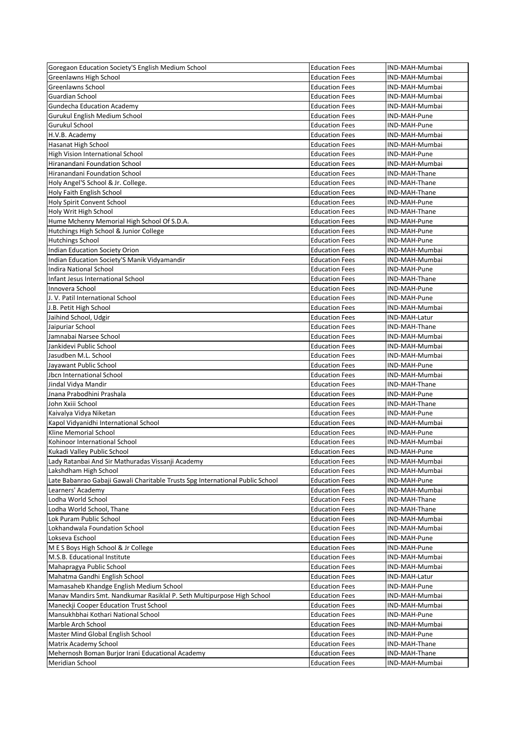| Goregaon Education Society'S English Medium School                            | <b>Education Fees</b> | IND-MAH-Mumbai |
|-------------------------------------------------------------------------------|-----------------------|----------------|
| Greenlawns High School                                                        | <b>Education Fees</b> | IND-MAH-Mumbai |
| Greenlawns School                                                             | <b>Education Fees</b> | IND-MAH-Mumbai |
| <b>Guardian School</b>                                                        | <b>Education Fees</b> | IND-MAH-Mumbai |
| <b>Gundecha Education Academy</b>                                             | <b>Education Fees</b> | IND-MAH-Mumbai |
| Gurukul English Medium School                                                 | <b>Education Fees</b> | IND-MAH-Pune   |
| Gurukul School                                                                | <b>Education Fees</b> | IND-MAH-Pune   |
| H.V.B. Academy                                                                | <b>Education Fees</b> | IND-MAH-Mumbai |
|                                                                               |                       |                |
| Hasanat High School                                                           | <b>Education Fees</b> | IND-MAH-Mumbai |
| High Vision International School                                              | <b>Education Fees</b> | IND-MAH-Pune   |
| Hiranandani Foundation School                                                 | <b>Education Fees</b> | IND-MAH-Mumbai |
| Hiranandani Foundation School                                                 | <b>Education Fees</b> | IND-MAH-Thane  |
| Holy Angel'S School & Jr. College.                                            | <b>Education Fees</b> | IND-MAH-Thane  |
| Holy Faith English School                                                     | <b>Education Fees</b> | IND-MAH-Thane  |
| <b>Holy Spirit Convent School</b>                                             | <b>Education Fees</b> | IND-MAH-Pune   |
| Holy Writ High School                                                         | <b>Education Fees</b> | IND-MAH-Thane  |
| Hume Mchenry Memorial High School Of S.D.A.                                   | <b>Education Fees</b> | IND-MAH-Pune   |
| Hutchings High School & Junior College                                        | <b>Education Fees</b> | IND-MAH-Pune   |
| <b>Hutchings School</b>                                                       | <b>Education Fees</b> | IND-MAH-Pune   |
| Indian Education Society Orion                                                | <b>Education Fees</b> | IND-MAH-Mumbai |
|                                                                               | <b>Education Fees</b> |                |
| Indian Education Society'S Manik Vidyamandir                                  |                       | IND-MAH-Mumbai |
| <b>Indira National School</b>                                                 | <b>Education Fees</b> | IND-MAH-Pune   |
| Infant Jesus International School                                             | <b>Education Fees</b> | IND-MAH-Thane  |
| Innovera School                                                               | <b>Education Fees</b> | IND-MAH-Pune   |
| J. V. Patil International School                                              | <b>Education Fees</b> | IND-MAH-Pune   |
| J.B. Petit High School                                                        | <b>Education Fees</b> | IND-MAH-Mumbai |
| Jaihind School, Udgir                                                         | <b>Education Fees</b> | IND-MAH-Latur  |
| Jaipuriar School                                                              | <b>Education Fees</b> | IND-MAH-Thane  |
| Jamnabai Narsee School                                                        | <b>Education Fees</b> | IND-MAH-Mumbai |
| Jankidevi Public School                                                       | <b>Education Fees</b> | IND-MAH-Mumbai |
| Jasudben M.L. School                                                          | <b>Education Fees</b> | IND-MAH-Mumbai |
| Jayawant Public School                                                        | <b>Education Fees</b> | IND-MAH-Pune   |
|                                                                               |                       |                |
| Jbcn International School                                                     | <b>Education Fees</b> | IND-MAH-Mumbai |
| Jindal Vidya Mandir                                                           | <b>Education Fees</b> | IND-MAH-Thane  |
| Jnana Prabodhini Prashala                                                     | <b>Education Fees</b> | IND-MAH-Pune   |
| John Xxiii School                                                             | <b>Education Fees</b> | IND-MAH-Thane  |
| Kaivalya Vidya Niketan                                                        | <b>Education Fees</b> | IND-MAH-Pune   |
| Kapol Vidyanidhi International School                                         | <b>Education Fees</b> | IND-MAH-Mumbai |
| Kline Memorial School                                                         | <b>Education Fees</b> | IND-MAH-Pune   |
| Kohinoor International School                                                 | <b>Education Fees</b> | IND-MAH-Mumbai |
| Kukadi Valley Public School                                                   | <b>Education Fees</b> | IND-MAH-Pune   |
| Lady Ratanbai And Sir Mathuradas Vissanji Academy                             | <b>Education Fees</b> | IND-MAH-Mumbai |
| Lakshdham High School                                                         | <b>Education Fees</b> | IND-MAH-Mumbai |
| Late Babanrao Gabaji Gawali Charitable Trusts Spg International Public School |                       | IND-MAH-Pune   |
|                                                                               | <b>Education Fees</b> |                |
| Learners' Academy                                                             | <b>Education Fees</b> | IND-MAH-Mumbai |
| Lodha World School                                                            | <b>Education Fees</b> | IND-MAH-Thane  |
| Lodha World School, Thane                                                     | <b>Education Fees</b> | IND-MAH-Thane  |
| Lok Puram Public School                                                       | <b>Education Fees</b> | IND-MAH-Mumbai |
| Lokhandwala Foundation School                                                 | <b>Education Fees</b> | IND-MAH-Mumbai |
| Lokseva Eschool                                                               | <b>Education Fees</b> | IND-MAH-Pune   |
| M E S Boys High School & Jr College                                           | <b>Education Fees</b> | IND-MAH-Pune   |
| M.S.B. Educational Institute                                                  | <b>Education Fees</b> | IND-MAH-Mumbai |
| Mahapragya Public School                                                      | <b>Education Fees</b> | IND-MAH-Mumbai |
| Mahatma Gandhi English School                                                 | <b>Education Fees</b> | IND-MAH-Latur  |
| Mamasaheb Khandge English Medium School                                       | <b>Education Fees</b> | IND-MAH-Pune   |
| Manav Mandirs Smt. Nandkumar Rasiklal P. Seth Multipurpose High School        |                       | IND-MAH-Mumbai |
|                                                                               | <b>Education Fees</b> |                |
| Maneckji Cooper Education Trust School                                        | <b>Education Fees</b> | IND-MAH-Mumbai |
| Mansukhbhai Kothari National School                                           | <b>Education Fees</b> | IND-MAH-Pune   |
| Marble Arch School                                                            | <b>Education Fees</b> | IND-MAH-Mumbai |
| Master Mind Global English School                                             | <b>Education Fees</b> | IND-MAH-Pune   |
| Matrix Academy School                                                         | <b>Education Fees</b> | IND-MAH-Thane  |
| Mehernosh Boman Burjor Irani Educational Academy                              | <b>Education Fees</b> | IND-MAH-Thane  |
| Meridian School                                                               | <b>Education Fees</b> | IND-MAH-Mumbai |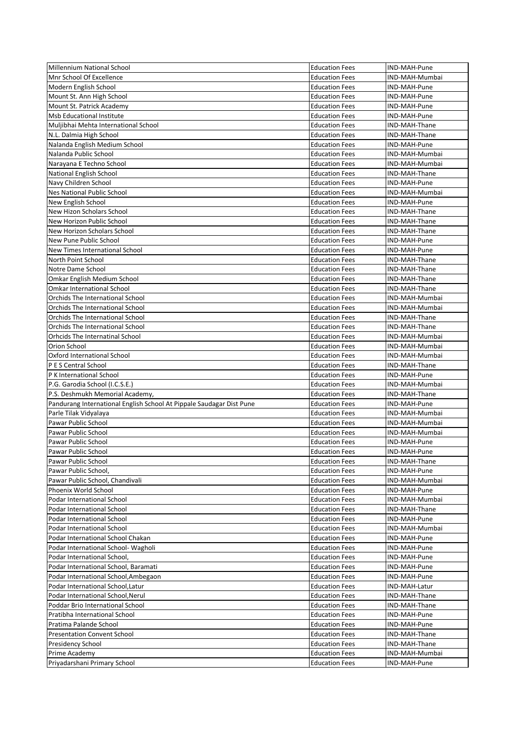| <b>Millennium National School</b>                                    | <b>Education Fees</b> | IND-MAH-Pune   |
|----------------------------------------------------------------------|-----------------------|----------------|
| Mnr School Of Excellence                                             | <b>Education Fees</b> | IND-MAH-Mumbai |
| Modern English School                                                | <b>Education Fees</b> | IND-MAH-Pune   |
| Mount St. Ann High School                                            | <b>Education Fees</b> | IND-MAH-Pune   |
| Mount St. Patrick Academy                                            | <b>Education Fees</b> | IND-MAH-Pune   |
| <b>Msb Educational Institute</b>                                     | <b>Education Fees</b> | IND-MAH-Pune   |
| Muljibhai Mehta International School                                 | <b>Education Fees</b> | IND-MAH-Thane  |
| N.L. Dalmia High School                                              | <b>Education Fees</b> | IND-MAH-Thane  |
| Nalanda English Medium School                                        | <b>Education Fees</b> | IND-MAH-Pune   |
| Nalanda Public School                                                | <b>Education Fees</b> | IND-MAH-Mumbai |
| Narayana E Techno School                                             | <b>Education Fees</b> | IND-MAH-Mumbai |
| <b>National English School</b>                                       | <b>Education Fees</b> | IND-MAH-Thane  |
| Navy Children School                                                 | <b>Education Fees</b> | IND-MAH-Pune   |
|                                                                      |                       |                |
| Nes National Public School                                           | <b>Education Fees</b> | IND-MAH-Mumbai |
| New English School                                                   | <b>Education Fees</b> | IND-MAH-Pune   |
| New Hizon Scholars School                                            | <b>Education Fees</b> | IND-MAH-Thane  |
| New Horizon Public School                                            | <b>Education Fees</b> | IND-MAH-Thane  |
| New Horizon Scholars School                                          | <b>Education Fees</b> | IND-MAH-Thane  |
| New Pune Public School                                               | <b>Education Fees</b> | IND-MAH-Pune   |
| New Times International School                                       | <b>Education Fees</b> | IND-MAH-Pune   |
| North Point School                                                   | <b>Education Fees</b> | IND-MAH-Thane  |
| Notre Dame School                                                    | <b>Education Fees</b> | IND-MAH-Thane  |
| Omkar English Medium School                                          | <b>Education Fees</b> | IND-MAH-Thane  |
| <b>Omkar International School</b>                                    | <b>Education Fees</b> | IND-MAH-Thane  |
| Orchids The International School                                     | <b>Education Fees</b> | IND-MAH-Mumbai |
| Orchids The International School                                     | <b>Education Fees</b> | IND-MAH-Mumbai |
| Orchids The International School                                     | <b>Education Fees</b> | IND-MAH-Thane  |
| Orchids The International School                                     | <b>Education Fees</b> | IND-MAH-Thane  |
|                                                                      |                       |                |
| Orhcids The Internatinal School                                      | <b>Education Fees</b> | IND-MAH-Mumbai |
| Orion School                                                         | <b>Education Fees</b> | IND-MAH-Mumbai |
| Oxford International School                                          | <b>Education Fees</b> | IND-MAH-Mumbai |
| P E S Central School                                                 | <b>Education Fees</b> | IND-MAH-Thane  |
| P K International School                                             | <b>Education Fees</b> | IND-MAH-Pune   |
| P.G. Garodia School (I.C.S.E.)                                       | <b>Education Fees</b> | IND-MAH-Mumbai |
| P.S. Deshmukh Memorial Academy,                                      | <b>Education Fees</b> | IND-MAH-Thane  |
| Pandurang International English School At Pippale Saudagar Dist Pune | <b>Education Fees</b> | IND-MAH-Pune   |
| Parle Tilak Vidyalaya                                                | <b>Education Fees</b> | IND-MAH-Mumbai |
| Pawar Public School                                                  | <b>Education Fees</b> | IND-MAH-Mumbai |
| Pawar Public School                                                  | <b>Education Fees</b> | IND-MAH-Mumbai |
| Pawar Public School                                                  | <b>Education Fees</b> | IND-MAH-Pune   |
| Pawar Public School                                                  | <b>Education Fees</b> | IND-MAH-Pune   |
| Pawar Public School                                                  | <b>Education Fees</b> | IND-MAH-Thane  |
| Pawar Public School.                                                 | <b>Education Fees</b> | IND-MAH-Pune   |
| Pawar Public School, Chandivali                                      | <b>Education Fees</b> | IND-MAH-Mumbai |
| Phoenix World School                                                 | <b>Education Fees</b> | IND-MAH-Pune   |
| Podar International School                                           |                       |                |
|                                                                      | <b>Education Fees</b> | IND-MAH-Mumbai |
| Podar International School                                           | <b>Education Fees</b> | IND-MAH-Thane  |
| Podar International School                                           | <b>Education Fees</b> | IND-MAH-Pune   |
| Podar International School                                           | <b>Education Fees</b> | IND-MAH-Mumbai |
| Podar International School Chakan                                    | <b>Education Fees</b> | IND-MAH-Pune   |
| Podar International School- Wagholi                                  | <b>Education Fees</b> | IND-MAH-Pune   |
| Podar International School,                                          | <b>Education Fees</b> | IND-MAH-Pune   |
| Podar International School, Baramati                                 | <b>Education Fees</b> | IND-MAH-Pune   |
| Podar International School, Ambegaon                                 | <b>Education Fees</b> | IND-MAH-Pune   |
| Podar International School, Latur                                    | <b>Education Fees</b> | IND-MAH-Latur  |
| Podar International School, Nerul                                    | <b>Education Fees</b> | IND-MAH-Thane  |
| Poddar Brio International School                                     | <b>Education Fees</b> | IND-MAH-Thane  |
| Pratibha International School                                        | <b>Education Fees</b> | IND-MAH-Pune   |
| Pratima Palande School                                               | <b>Education Fees</b> | IND-MAH-Pune   |
| <b>Presentation Convent School</b>                                   | <b>Education Fees</b> | IND-MAH-Thane  |
| Presidency School                                                    | <b>Education Fees</b> | IND-MAH-Thane  |
|                                                                      |                       | IND-MAH-Mumbai |
| Prime Academy                                                        | <b>Education Fees</b> |                |
| Priyadarshani Primary School                                         | <b>Education Fees</b> | IND-MAH-Pune   |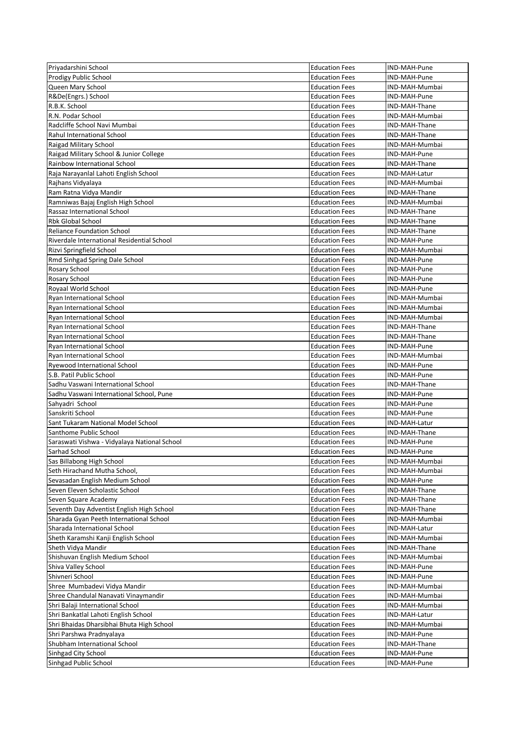| Priyadarshini School                         | <b>Education Fees</b> | IND-MAH-Pune   |
|----------------------------------------------|-----------------------|----------------|
| Prodigy Public School                        | <b>Education Fees</b> | IND-MAH-Pune   |
| Queen Mary School                            | <b>Education Fees</b> | IND-MAH-Mumbai |
| R&De(Engrs.) School                          | <b>Education Fees</b> | IND-MAH-Pune   |
| R.B.K. School                                | <b>Education Fees</b> | IND-MAH-Thane  |
| R.N. Podar School                            | <b>Education Fees</b> | IND-MAH-Mumbai |
| Radcliffe School Navi Mumbai                 | <b>Education Fees</b> | IND-MAH-Thane  |
| <b>Rahul International School</b>            | <b>Education Fees</b> | IND-MAH-Thane  |
| Raigad Military School                       | <b>Education Fees</b> | IND-MAH-Mumbai |
| Raigad Military School & Junior College      | <b>Education Fees</b> | IND-MAH-Pune   |
| Rainbow International School                 | <b>Education Fees</b> | IND-MAH-Thane  |
| Raja Narayanlal Lahoti English School        | <b>Education Fees</b> | IND-MAH-Latur  |
|                                              | <b>Education Fees</b> | IND-MAH-Mumbai |
| Rajhans Vidyalaya                            |                       |                |
| Ram Ratna Vidya Mandir                       | <b>Education Fees</b> | IND-MAH-Thane  |
| Ramniwas Bajaj English High School           | <b>Education Fees</b> | IND-MAH-Mumbai |
| Rassaz International School                  | <b>Education Fees</b> | IND-MAH-Thane  |
| <b>Rbk Global School</b>                     | <b>Education Fees</b> | IND-MAH-Thane  |
| <b>Reliance Foundation School</b>            | <b>Education Fees</b> | IND-MAH-Thane  |
| Riverdale International Residential School   | <b>Education Fees</b> | IND-MAH-Pune   |
| Rizvi Springfield School                     | <b>Education Fees</b> | IND-MAH-Mumbai |
| Rmd Sinhgad Spring Dale School               | <b>Education Fees</b> | IND-MAH-Pune   |
| Rosary School                                | <b>Education Fees</b> | IND-MAH-Pune   |
| Rosary School                                | <b>Education Fees</b> | IND-MAH-Pune   |
| Royaal World School                          | <b>Education Fees</b> | IND-MAH-Pune   |
| Ryan International School                    | <b>Education Fees</b> | IND-MAH-Mumbai |
| Ryan International School                    | <b>Education Fees</b> | IND-MAH-Mumbai |
|                                              | <b>Education Fees</b> | IND-MAH-Mumbai |
| Ryan International School                    |                       |                |
| Ryan International School                    | <b>Education Fees</b> | IND-MAH-Thane  |
| Ryan International School                    | <b>Education Fees</b> | IND-MAH-Thane  |
| Ryan International School                    | <b>Education Fees</b> | IND-MAH-Pune   |
| Ryan International School                    | <b>Education Fees</b> | IND-MAH-Mumbai |
| <b>Ryewood International School</b>          | <b>Education Fees</b> | IND-MAH-Pune   |
| S.B. Patil Public School                     | <b>Education Fees</b> | IND-MAH-Pune   |
| Sadhu Vaswani International School           | <b>Education Fees</b> | IND-MAH-Thane  |
| Sadhu Vaswani International School, Pune     | <b>Education Fees</b> | IND-MAH-Pune   |
| Sahyadri School                              | <b>Education Fees</b> | IND-MAH-Pune   |
| Sanskriti School                             | <b>Education Fees</b> | IND-MAH-Pune   |
| Sant Tukaram National Model School           | <b>Education Fees</b> | IND-MAH-Latur  |
| Santhome Public School                       | <b>Education Fees</b> | IND-MAH-Thane  |
| Saraswati Vishwa - Vidyalaya National School | <b>Education Fees</b> | IND-MAH-Pune   |
| Sarhad School                                | <b>Education Fees</b> | IND-MAH-Pune   |
| Sas Billabong High School                    | <b>Education Fees</b> | IND-MAH-Mumbai |
|                                              |                       |                |
| Seth Hirachand Mutha School,                 | <b>Education Fees</b> | IND-MAH-Mumbai |
| Sevasadan English Medium School              | <b>Education Fees</b> | IND-MAH-Pune   |
| Seven Eleven Scholastic School               | <b>Education Fees</b> | IND-MAH-Thane  |
| Seven Square Academy                         | <b>Education Fees</b> | IND-MAH-Thane  |
| Seventh Day Adventist English High School    | <b>Education Fees</b> | IND-MAH-Thane  |
| Sharada Gyan Peeth International School      | <b>Education Fees</b> | IND-MAH-Mumbai |
| Sharada International School                 | <b>Education Fees</b> | IND-MAH-Latur  |
| Sheth Karamshi Kanji English School          | <b>Education Fees</b> | IND-MAH-Mumbai |
| Sheth Vidya Mandir                           | <b>Education Fees</b> | IND-MAH-Thane  |
| Shishuvan English Medium School              | <b>Education Fees</b> | IND-MAH-Mumbai |
| Shiva Valley School                          | <b>Education Fees</b> | IND-MAH-Pune   |
| Shivneri School                              | <b>Education Fees</b> | IND-MAH-Pune   |
|                                              |                       |                |
| Shree Mumbadevi Vidya Mandir                 | <b>Education Fees</b> | IND-MAH-Mumbai |
| Shree Chandulal Nanavati Vinaymandir         | <b>Education Fees</b> | IND-MAH-Mumbai |
| Shri Balaji International School             | <b>Education Fees</b> | IND-MAH-Mumbai |
| Shri Bankatlal Lahoti English School         | <b>Education Fees</b> | IND-MAH-Latur  |
| Shri Bhaidas Dharsibhai Bhuta High School    | <b>Education Fees</b> | IND-MAH-Mumbai |
| Shri Parshwa Pradnyalaya                     | <b>Education Fees</b> | IND-MAH-Pune   |
| Shubham International School                 | <b>Education Fees</b> | IND-MAH-Thane  |
| Sinhgad City School                          | <b>Education Fees</b> | IND-MAH-Pune   |
| Sinhgad Public School                        | <b>Education Fees</b> | IND-MAH-Pune   |
|                                              |                       |                |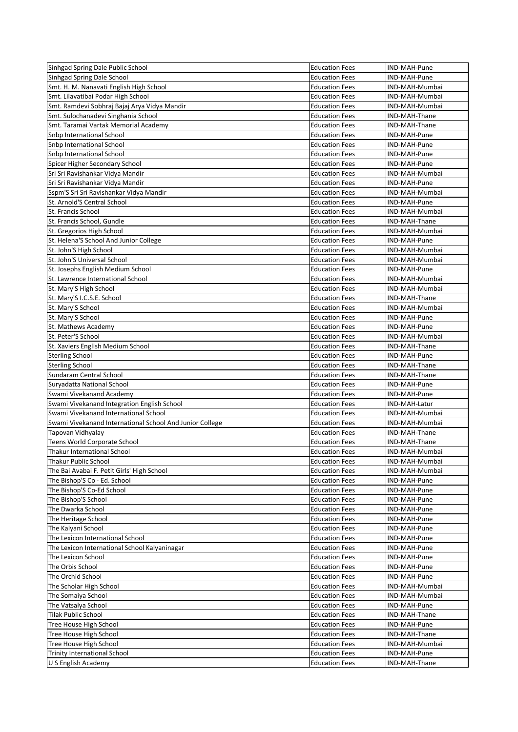| Sinhgad Spring Dale Public School                        | <b>Education Fees</b> | IND-MAH-Pune   |
|----------------------------------------------------------|-----------------------|----------------|
| Sinhgad Spring Dale School                               | <b>Education Fees</b> | IND-MAH-Pune   |
| Smt. H. M. Nanavati English High School                  | <b>Education Fees</b> | IND-MAH-Mumbai |
| Smt. Lilavatibai Podar High School                       | <b>Education Fees</b> | IND-MAH-Mumbai |
| Smt. Ramdevi Sobhraj Bajaj Arya Vidya Mandir             | <b>Education Fees</b> | IND-MAH-Mumbai |
| Smt. Sulochanadevi Singhania School                      | <b>Education Fees</b> | IND-MAH-Thane  |
| Smt. Taramai Vartak Memorial Academy                     | <b>Education Fees</b> | IND-MAH-Thane  |
| Snbp International School                                | <b>Education Fees</b> | IND-MAH-Pune   |
| <b>Snbp International School</b>                         | <b>Education Fees</b> | IND-MAH-Pune   |
| Snbp International School                                | <b>Education Fees</b> | IND-MAH-Pune   |
| Spicer Higher Secondary School                           | <b>Education Fees</b> | IND-MAH-Pune   |
| Sri Sri Ravishankar Vidya Mandir                         | <b>Education Fees</b> | IND-MAH-Mumbai |
| Sri Sri Ravishankar Vidya Mandir                         | <b>Education Fees</b> | IND-MAH-Pune   |
|                                                          |                       |                |
| Sspm'S Sri Sri Ravishankar Vidya Mandir                  | <b>Education Fees</b> | IND-MAH-Mumbai |
| St. Arnold'S Central School                              | <b>Education Fees</b> | IND-MAH-Pune   |
| St. Francis School                                       | <b>Education Fees</b> | IND-MAH-Mumbai |
| St. Francis School, Gundle                               | <b>Education Fees</b> | IND-MAH-Thane  |
| St. Gregorios High School                                | <b>Education Fees</b> | IND-MAH-Mumbai |
| St. Helena'S School And Junior College                   | <b>Education Fees</b> | IND-MAH-Pune   |
| St. John'S High School                                   | <b>Education Fees</b> | IND-MAH-Mumbai |
| St. John'S Universal School                              | <b>Education Fees</b> | IND-MAH-Mumbai |
| St. Josephs English Medium School                        | <b>Education Fees</b> | IND-MAH-Pune   |
| St. Lawrence International School                        | <b>Education Fees</b> | IND-MAH-Mumbai |
| St. Mary'S High School                                   | <b>Education Fees</b> | IND-MAH-Mumbai |
| St. Mary'S I.C.S.E. School                               | <b>Education Fees</b> | IND-MAH-Thane  |
| St. Mary'S School                                        | <b>Education Fees</b> | IND-MAH-Mumbai |
| St. Mary'S School                                        | <b>Education Fees</b> | IND-MAH-Pune   |
| <b>St. Mathews Academy</b>                               | <b>Education Fees</b> | IND-MAH-Pune   |
| St. Peter'S School                                       | <b>Education Fees</b> | IND-MAH-Mumbai |
| St. Xaviers English Medium School                        | <b>Education Fees</b> | IND-MAH-Thane  |
|                                                          |                       |                |
| <b>Sterling School</b>                                   | <b>Education Fees</b> | IND-MAH-Pune   |
| <b>Sterling School</b>                                   | <b>Education Fees</b> | IND-MAH-Thane  |
| Sundaram Central School                                  | <b>Education Fees</b> | IND-MAH-Thane  |
| Suryadatta National School                               | <b>Education Fees</b> | IND-MAH-Pune   |
| Swami Vivekanand Academy                                 | <b>Education Fees</b> | IND-MAH-Pune   |
| Swami Vivekanand Integration English School              | <b>Education Fees</b> | IND-MAH-Latur  |
| Swami Vivekanand International School                    | <b>Education Fees</b> | IND-MAH-Mumbai |
| Swami Vivekanand International School And Junior College | <b>Education Fees</b> | IND-MAH-Mumbai |
| Tapovan Vidhyalay                                        | <b>Education Fees</b> | IND-MAH-Thane  |
| Teens World Corporate School                             | <b>Education Fees</b> | IND-MAH-Thane  |
| Thakur International School                              | <b>Education Fees</b> | IND-MAH-Mumbai |
| Thakur Public School                                     | <b>Education Fees</b> | IND-MAH-Mumbai |
| The Bai Avabai F. Petit Girls' High School               | <b>Education Fees</b> | IND-MAH-Mumbai |
| The Bishop'S Co - Ed. School                             | <b>Education Fees</b> | IND-MAH-Pune   |
| The Bishop'S Co-Ed School                                | <b>Education Fees</b> | IND-MAH-Pune   |
| The Bishop'S School                                      | <b>Education Fees</b> | IND-MAH-Pune   |
| The Dwarka School                                        | <b>Education Fees</b> | IND-MAH-Pune   |
|                                                          |                       |                |
| The Heritage School                                      | <b>Education Fees</b> | IND-MAH-Pune   |
| The Kalyani School                                       | <b>Education Fees</b> | IND-MAH-Pune   |
| The Lexicon International School                         | <b>Education Fees</b> | IND-MAH-Pune   |
| The Lexicon International School Kalyaninagar            | <b>Education Fees</b> | IND-MAH-Pune   |
| The Lexicon School                                       | <b>Education Fees</b> | IND-MAH-Pune   |
| The Orbis School                                         | <b>Education Fees</b> | IND-MAH-Pune   |
| The Orchid School                                        | <b>Education Fees</b> | IND-MAH-Pune   |
| The Scholar High School                                  | <b>Education Fees</b> | IND-MAH-Mumbai |
| The Somaiya School                                       | <b>Education Fees</b> | IND-MAH-Mumbai |
| The Vatsalya School                                      | <b>Education Fees</b> | IND-MAH-Pune   |
| <b>Tilak Public School</b>                               | <b>Education Fees</b> | IND-MAH-Thane  |
| Tree House High School                                   | <b>Education Fees</b> | IND-MAH-Pune   |
| Tree House High School                                   | <b>Education Fees</b> | IND-MAH-Thane  |
| Tree House High School                                   |                       | IND-MAH-Mumbai |
|                                                          | <b>Education Fees</b> |                |
| <b>Trinity International School</b>                      | <b>Education Fees</b> | IND-MAH-Pune   |
| U S English Academy                                      | <b>Education Fees</b> | IND-MAH-Thane  |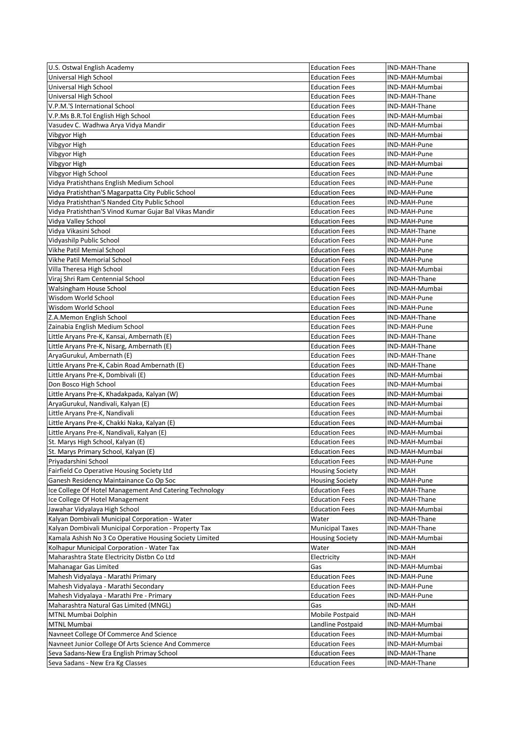| U.S. Ostwal English Academy                             | <b>Education Fees</b>  | IND-MAH-Thane  |
|---------------------------------------------------------|------------------------|----------------|
| Universal High School                                   | <b>Education Fees</b>  | IND-MAH-Mumbai |
| Universal High School                                   | <b>Education Fees</b>  | IND-MAH-Mumbai |
| Universal High School                                   | <b>Education Fees</b>  | IND-MAH-Thane  |
| V.P.M.'S International School                           | <b>Education Fees</b>  | IND-MAH-Thane  |
| V.P.Ms B.R.Tol English High School                      | Education Fees         | IND-MAH-Mumbai |
| Vasudev C. Wadhwa Arya Vidya Mandir                     | <b>Education Fees</b>  | IND-MAH-Mumbai |
| Vibgyor High                                            | <b>Education Fees</b>  | IND-MAH-Mumbai |
| Vibgyor High                                            | <b>Education Fees</b>  | IND-MAH-Pune   |
| Vibgyor High                                            | <b>Education Fees</b>  | IND-MAH-Pune   |
| Vibgyor High                                            | <b>Education Fees</b>  | IND-MAH-Mumbai |
| Vibgyor High School                                     | <b>Education Fees</b>  | IND-MAH-Pune   |
| Vidya Pratishthans English Medium School                | <b>Education Fees</b>  | IND-MAH-Pune   |
| Vidya Pratishthan'S Magarpatta City Public School       | <b>Education Fees</b>  | IND-MAH-Pune   |
| Vidya Pratishthan'S Nanded City Public School           | <b>Education Fees</b>  | IND-MAH-Pune   |
|                                                         |                        |                |
| Vidya Pratishthan'S Vinod Kumar Gujar Bal Vikas Mandir  | <b>Education Fees</b>  | IND-MAH-Pune   |
| Vidya Valley School                                     | <b>Education Fees</b>  | IND-MAH-Pune   |
| Vidya Vikasini School                                   | <b>Education Fees</b>  | IND-MAH-Thane  |
| Vidyashilp Public School                                | Education Fees         | IND-MAH-Pune   |
| Vikhe Patil Memial School                               | <b>Education Fees</b>  | IND-MAH-Pune   |
| Vikhe Patil Memorial School                             | <b>Education Fees</b>  | IND-MAH-Pune   |
| Villa Theresa High School                               | <b>Education Fees</b>  | IND-MAH-Mumbai |
| Viraj Shri Ram Centennial School                        | <b>Education Fees</b>  | IND-MAH-Thane  |
| Walsingham House School                                 | <b>Education Fees</b>  | IND-MAH-Mumbai |
| Wisdom World School                                     | Education Fees         | IND-MAH-Pune   |
| Wisdom World School                                     | <b>Education Fees</b>  | IND-MAH-Pune   |
| Z.A.Memon English School                                | <b>Education Fees</b>  | IND-MAH-Thane  |
| Zainabia English Medium School                          | <b>Education Fees</b>  | IND-MAH-Pune   |
| Little Aryans Pre-K, Kansai, Ambernath (E)              | <b>Education Fees</b>  | IND-MAH-Thane  |
| Little Aryans Pre-K, Nisarg, Ambernath (E)              | <b>Education Fees</b>  | IND-MAH-Thane  |
| AryaGurukul, Ambernath (E)                              | Education Fees         | IND-MAH-Thane  |
| Little Aryans Pre-K, Cabin Road Ambernath (E)           | <b>Education Fees</b>  | IND-MAH-Thane  |
| Little Aryans Pre-K, Dombivali (E)                      | <b>Education Fees</b>  | IND-MAH-Mumbai |
| Don Bosco High School                                   | <b>Education Fees</b>  | IND-MAH-Mumbai |
| Little Aryans Pre-K, Khadakpada, Kalyan (W)             | <b>Education Fees</b>  | IND-MAH-Mumbai |
|                                                         |                        |                |
| AryaGurukul, Nandivali, Kalyan (E)                      | <b>Education Fees</b>  | IND-MAH-Mumbai |
| Little Aryans Pre-K, Nandivali                          | Education Fees         | IND-MAH-Mumbai |
| Little Aryans Pre-K, Chakki Naka, Kalyan (E)            | Education Fees         | IND-MAH-Mumbai |
| Little Aryans Pre-K, Nandivali, Kalyan (E)              | <b>Education Fees</b>  | IND-MAH-Mumbai |
| St. Marys High School, Kalyan (E)                       | <b>Education Fees</b>  | IND-MAH-Mumbai |
| St. Marys Primary School, Kalyan (E)                    | <b>Education Fees</b>  | IND-MAH-Mumbai |
| Priyadarshini School                                    | <b>Education Fees</b>  | IND-MAH-Pune   |
| Fairfield Co Operative Housing Society Ltd              | <b>Housing Society</b> | IND-MAH        |
| Ganesh Residency Maintainance Co Op Soc                 | <b>Housing Society</b> | IND-MAH-Pune   |
| Ice College Of Hotel Management And Catering Technology | <b>Education Fees</b>  | IND-MAH-Thane  |
| Ice College Of Hotel Management                         | <b>Education Fees</b>  | IND-MAH-Thane  |
| Jawahar Vidyalaya High School                           | <b>Education Fees</b>  | IND-MAH-Mumbai |
| Kalyan Dombivali Municipal Corporation - Water          | Water                  | IND-MAH-Thane  |
| Kalyan Dombivali Municipal Corporation - Property Tax   | <b>Municipal Taxes</b> | IND-MAH-Thane  |
| Kamala Ashish No 3 Co Operative Housing Society Limited | <b>Housing Society</b> | IND-MAH-Mumbai |
| Kolhapur Municipal Corporation - Water Tax              | Water                  | IND-MAH        |
| Maharashtra State Electricity Distbn Co Ltd             | Electricity            | IND-MAH        |
| Mahanagar Gas Limited                                   | Gas                    | IND-MAH-Mumbai |
|                                                         |                        |                |
| Mahesh Vidyalaya - Marathi Primary                      | <b>Education Fees</b>  | IND-MAH-Pune   |
| Mahesh Vidyalaya - Marathi Secondary                    | <b>Education Fees</b>  | IND-MAH-Pune   |
| Mahesh Vidyalaya - Marathi Pre - Primary                | Education Fees         | IND-MAH-Pune   |
| Maharashtra Natural Gas Limited (MNGL)                  | Gas                    | IND-MAH        |
| MTNL Mumbai Dolphin                                     | Mobile Postpaid        | IND-MAH        |
| <b>MTNL Mumbai</b>                                      | Landline Postpaid      | IND-MAH-Mumbai |
| Navneet College Of Commerce And Science                 | <b>Education Fees</b>  | IND-MAH-Mumbai |
| Navneet Junior College Of Arts Science And Commerce     | <b>Education Fees</b>  | IND-MAH-Mumbai |
| Seva Sadans-New Era English Primay School               | <b>Education Fees</b>  | IND-MAH-Thane  |
| Seva Sadans - New Era Kg Classes                        | <b>Education Fees</b>  | IND-MAH-Thane  |